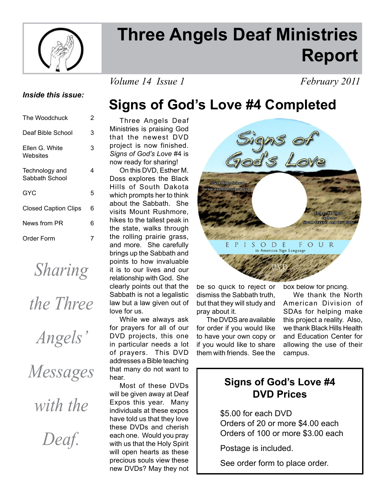

# **Three Angels Deaf Ministries Report**

*Volume 14 Issue 1* February 2011

#### *Inside this issue:*

| The Woodchuck                    | 2 |
|----------------------------------|---|
| Deaf Bible School                | 3 |
| Ellen G. White<br>Websites       | 3 |
| Technology and<br>Sabbath School | 4 |
| GYC                              | 5 |
| <b>Closed Caption Clips</b>      | 6 |
| News from PR                     | 6 |
| Order Form                       | 7 |

*Sharing* 

*the Three* 

*Angels'* 

*Messages* 

*with the* 

*Deaf.*

# **Signs of God's Love #4 Completed**

 Three Angels Deaf Ministries is praising God that the newest DVD project is now finished. *Signs of God's Love* #4 is now ready for sharing!

 On this DVD, Esther M. Doss explores the Black Hills of South Dakota which prompts her to think about the Sabbath. She visits Mount Rushmore, hikes to the tallest peak in the state, walks through the rolling prairie grass, and more. She carefully brings up the Sabbath and points to how invaluable it is to our lives and our relationship with God. She clearly points out that the Sabbath is not a legalistic law but a law given out of love for us.

 While we always ask for prayers for all of our DVD projects, this one in particular needs a lot of prayers. This DVD addresses a Bible teaching that many do not want to hear.

 Most of these DVDs will be given away at Deaf Expos this year. Many individuals at these expos have told us that they love these DVDs and cherish each one. Would you pray with us that the Holy Spirit will open hearts as these precious souls view these new DVDs? May they not



be so quick to reject or dismiss the Sabbath truth, but that they will study and pray about it.

 The DVDS are available for order if you would like to have your own copy or if you would like to share them with friends. See the

box below for pricing.

 We thank the North American Division of SDAs for helping make this project a reality. Also, we thank Black Hills Health and Education Center for allowing the use of their campus.

### **Signs of God's Love #4 DVD Prices**

 \$5.00 for each DVD Orders of 20 or more \$4.00 each Orders of 100 or more \$3.00 each

Postage is included.

See order form to place order.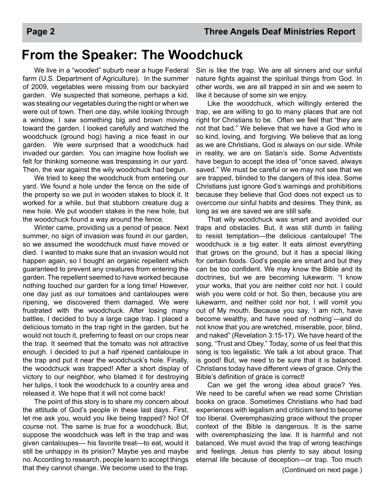### **From the Speaker: The Woodchuck**

 We live in a "wooded" suburb near a huge Federal farm (U.S. Department of Agriculture). In the summer of 2009, vegetables were missing from our backyard garden. We suspected that someone, perhaps a kid, was stealing our vegetables during the night or when we were out of town. Then one day, while looking through a window, I saw something big and brown moving toward the garden. I looked carefully and watched the woodchuck (ground hog) having a nice feast in our garden. We were surprised that a woodchuck had invaded our garden. You can imagine how foolish we felt for thinking someone was trespassing in our yard. Then, the war against the wily woodchuck had begun.

 We tried to keep the woodchuck from entering our yard. We found a hole under the fence on the side of the property so we put in wooden stakes to block it. It worked for a while, but that stubborn creature dug a new hole. We put wooden stakes in the new hole, but the woodchuck found a way around the fence.

 Winter came, providing us a period of peace. Next summer, no sign of invasion was found in our garden, so we assumed the woodchuck must have moved or died. I wanted to make sure that an invasion would not happen again, so I bought an organic repellent which guaranteed to prevent any creatures from entering the garden. The repellent seemed to have worked because nothing touched our garden for a long time! However, one day just as our tomatoes and cantaloupes were ripening, we discovered them damaged. We were frustrated with the woodchuck. After losing many battles, I decided to buy a large cage trap. I placed a delicious tomato in the trap right in the garden, but he would not touch it, preferring to feast on our crops near the trap. It seemed that the tomato was not attractive enough. I decided to put a half ripened cantaloupe in the trap and put it near the woodchuck's hole. Finally, the woodchuck was trapped! After a short display of victory to our neighbor, who blamed it for destroying her tulips, I took the woodchuck to a country area and released it. We hope that it will not come back!

 The point of this story is to share my concern about the attitude of God's people in these last days. First, let me ask you, would you like being trapped? No! Of course not. The same is true for a woodchuck. But, suppose the woodchuck was left in the trap and was given cantaloupes— his favorite treat—to eat, would it still be unhappy in its prision? Maybe yes and maybe no. According to research, people learn to accept things that they cannot change. We become used to the trap.

Sin is like the trap. We are all sinners and our sinful nature fights against the spiritual things from God. In other words, we are all trapped in sin and we seem to like it because of some sin we enjoy.

 Like the woodchuck, which willingly entered the trap, we are willing to go to many places that are not right for Christians to be. Often we feel that "they are not that bad." We believe that we have a God who is so kind, loving, and forgiving. We believe that as long as we are Christians, God is always on our side. While in reality, we are on Satan's side. Some Adventists have begun to accept the idea of "once saved, always saved." We must be careful or we may not see that we are trapped, blinded to the dangers of this idea. Some Christians just ignore God's warnings and prohibitions because they believe that God does not expect us to overcome our sinful habits and desires. They think, as long as we are saved we are still safe.

 That wily woodchuck was smart and avoided our traps and obstacles. But, it was still dumb in failing to resist temptation—the delicious cantaloupe! The woodchuck is a big eater. It eats almost everything that grows on the ground, but it has a special liking for certain foods. God's people are smart and but they can be too confident. We may know the Bible and its doctrines, but we are becoming lukewarm. "I know your works, that you are neither cold nor hot. I could wish you were cold or hot. So then, because you are lukewarm, and neither cold nor hot, I will vomit you out of My mouth. Because you say, 'I am rich, have become wealthy, and have need of nothing'—and do not know that you are wretched, miserable, poor, blind, and naked" (Revelation 3:15-17). We have heard of the song, "Trust and Obey." Today, some of us feel that this song is too legalistic. We talk a lot about grace. That is good! But, we need to be sure that it is balanced. Christians today have different views of grace. Only the Bible's definition of grace is correct!

 Can we get the wrong idea about grace? Yes. We need to be careful when we read some Christian books on grace. Sometimes Christians who had bad experiences with legalism and criticism tend to become too liberal. Overemphasizing grace without the proper context of the Bible is dangerous. It is the same with overemphasizing the law. It is harmful and not balanced. We must avoid the trap of wrong teachings and feelings. Jesus has plenty to say about losing eternal life because of deception—or trap. Too much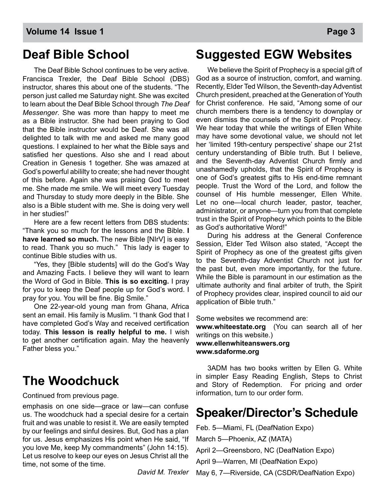### **Deaf Bible School**

The Deaf Bible School continues to be very active. Francisca Trexler, the Deaf Bible School (DBS) instructor, shares this about one of the students. "The person just called me Saturday night. She was excited to learn about the Deaf Bible School through *The Deaf Messenger*. She was more than happy to meet me as a Bible instructor. She had been praying to God that the Bible instructor would be Deaf. She was all delighted to talk with me and asked me many good questions. I explained to her what the Bible says and satisfied her questions. Also she and I read about Creation in Genesis 1 together. She was amazed at God's powerful abililty to create; she had never thought of this before. Again she was praising God to meet me. She made me smile. We will meet every Tuesday and Thursday to study more deeply in the Bible. She also is a Bible student with me. She is doing very well in her studies!"

Here are a few recent letters from DBS students: "Thank you so much for the lessons and the Bible. **I have learned so much.** The new Bible [NIrV] is easy to read. Thank you so much." This lady is eager to continue Bible studies with us.

"Yes, they [Bible students] will do the God's Way and Amazing Facts. I believe they will want to learn the Word of God in Bible. **This is so exciting.** I pray for you to keep the Deaf people up for God's word. I pray for you. You will be fine. Big Smile."

One 22-year-old young man from Ghana, Africa sent an email. His family is Muslim. "I thank God that I have completed God's Way and received certification today. **This lesson is really helpful to me.** I wish to get another certification again. May the heavenly Father bless you."

### **The Woodchuck**

emphasis on one side—grace or law—can confuse us. The woodchuck had a special desire for a certain fruit and was unable to resist it. We are easily tempted by our feelings and sinful desires. But, God has a plan for us. Jesus emphasizes His point when He said, "If you love Me, keep My commandments" (John 14:15). Let us resolve to keep our eyes on Jesus Christ all the time, not some of the time.

**Suggested EGW Websites**

 We believe the Spirit of Prophecy is a special gift of God as a source of instruction, comfort, and warning. Recently, Elder Ted Wilson, the Seventh-day Adventist Church president, preached at the Generation of Youth for Christ conference. He said, "Among some of our church members there is a tendency to downplay or even dismiss the counsels of the Spirit of Prophecy. We hear today that while the writings of Ellen White may have some devotional value, we should not let her 'limited 19th-century perspective' shape our 21st century understanding of Bible truth. But I believe, and the Seventh-day Adventist Church firmly and unashamedly upholds, that the Spirit of Prophecy is one of God's greatest gifts to His end-time remnant people. Trust the Word of the Lord, and follow the counsel of His humble messenger, Ellen White. Let no one—local church leader, pastor, teacher, administrator, or anyone—turn you from that complete trust in the Spirit of Prophecy which points to the Bible as God's authoritative Word!"

 During his address at the General Conference Session, Elder Ted Wilson also stated, "Accept the Spirit of Prophecy as one of the greatest gifts given to the Seventh-day Adventist Church not just for the past but, even more importantly, for the future. While the Bible is paramount in our estimation as the ultimate authority and final arbiter of truth, the Spirit of Prophecy provides clear, inspired council to aid our application of Bible truth."

Some websites we recommend are:

**www.whiteestate.org** (You can search all of her writings on this website.)

#### **www.ellenwhiteanswers.org www.sdaforme.org**

 3ADM has two books written by Ellen G. White in simpler Easy Reading English, Steps to Christ and Story of Redemption. For pricing and order information, turn to our order form. Continued from previous page.

### **Speaker/Director's Schedule**

Feb. 5—Miami, FL (DeafNation Expo)

March 5—Phoenix, AZ (MATA)

April 2—Greensboro, NC (DeafNation Expo)

April 9—Warren, MI (DeafNation Expo)

*David M. Trexler*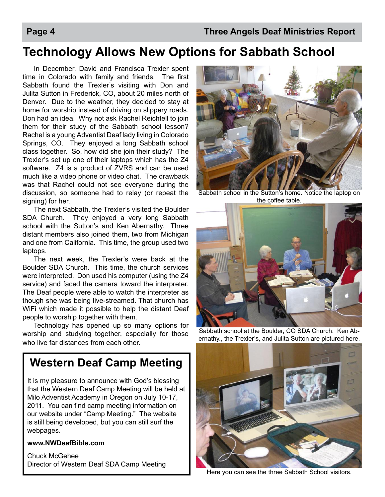### **Technology Allows New Options for Sabbath School**

In December, David and Francisca Trexler spent time in Colorado with family and friends. The first Sabbath found the Trexler's visiting with Don and Julita Sutton in Frederick, CO, about 20 miles north of Denver. Due to the weather, they decided to stay at home for worship instead of driving on slippery roads. Don had an idea. Why not ask Rachel Reichtell to join them for their study of the Sabbath school lesson? Rachel is a young Adventist Deaf lady living in Colorado Springs, CO. They enjoyed a long Sabbath school class together. So, how did she join their study? The Trexler's set up one of their laptops which has the Z4 software. Z4 is a product of ZVRS and can be used much like a video phone or video chat. The drawback was that Rachel could not see everyone during the discussion, so someone had to relay (or repeat the signing) for her.

The next Sabbath, the Trexler's visited the Boulder SDA Church. They enjoyed a very long Sabbath school with the Sutton's and Ken Abernathy. Three distant members also joined them, two from Michigan and one from California. This time, the group used two laptops.

The next week, the Trexler's were back at the Boulder SDA Church. This time, the church services were interpreted. Don used his computer (using the Z4 service) and faced the camera toward the interpreter. The Deaf people were able to watch the interpreter as though she was being live-streamed. That church has WiFi which made it possible to help the distant Deaf people to worship together with them.

Technology has opened up so many options for worship and studying together, especially for those who live far distances from each other.

### **Western Deaf Camp Meeting**

It is my pleasure to announce with God's blessing that the Western Deaf Camp Meeting will be held at Milo Adventist Academy in Oregon on July 10-17, 2011. You can find camp meeting information on our website under "Camp Meeting." The website is still being developed, but you can still surf the webpages.

#### **www.NWDeafBible.com**

Chuck McGehee Director of Western Deaf SDA Camp Meeting



Sabbath school in the Sutton's home. Notice the laptop on the coffee table.



Sabbath school at the Boulder, CO SDA Church. Ken Abernathy., the Trexler's, and Julita Sutton are pictured here.



Here you can see the three Sabbath School visitors.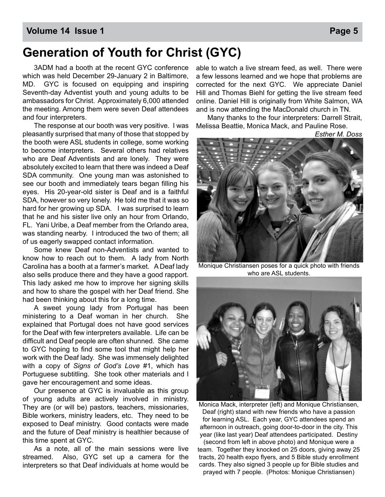#### **Volume 14 Issue 1 Page 5**

### **Generation of Youth for Christ (GYC)**

 3ADM had a booth at the recent GYC conference which was held December 29-January 2 in Baltimore, MD. GYC is focused on equipping and inspiring Seventh-day Adventist youth and young adults to be ambassadors for Christ. Approximately 6,000 attended the meeting. Among them were seven Deaf attendees and four interpreters.

 The response at our booth was very positive. I was pleasantly surprised that many of those that stopped by the booth were ASL students in college, some working to become interpreters. Several others had relatives who are Deaf Adventists and are lonely. They were absolutely excited to learn that there was indeed a Deaf SDA community. One young man was astonished to see our booth and immediately tears began filling his eyes. His 20-year-old sister is Deaf and is a faithful SDA, however so very lonely. He told me that it was so hard for her growing up SDA. I was surprised to learn that he and his sister live only an hour from Orlando, FL. Yani Uribe, a Deaf member from the Orlando area, was standing nearby. I introduced the two of them; all of us eagerly swapped contact information.

 Some knew Deaf non-Adventists and wanted to know how to reach out to them. A lady from North Carolina has a booth at a farmer's market. A Deaf lady also sells produce there and they have a good rapport. This lady asked me how to improve her signing skills and how to share the gospel with her Deaf friend. She had been thinking about this for a long time.

 A sweet young lady from Portugal has been ministering to a Deaf woman in her church. She explained that Portugal does not have good services for the Deaf with few interpreters available. Life can be difficult and Deaf people are often shunned. She came to GYC hoping to find some tool that might help her work with the Deaf lady. She was immensely delighted with a copy of *Signs of God's Love* #1, which has Portuguese subtitling. She took other materials and I gave her encouragement and some ideas.

 Our presence at GYC is invaluable as this group of young adults are actively involved in ministry. They are (or will be) pastors, teachers, missionaries, Bible workers, ministry leaders, etc. They need to be exposed to Deaf ministry. Good contacts were made and the future of Deaf ministry is healthier because of this time spent at GYC.

 As a note, all of the main sessions were live streamed. Also, GYC set up a camera for the interpreters so that Deaf individuals at home would be

able to watch a live stream feed, as well. There were a few lessons learned and we hope that problems are corrected for the next GYC. We appreciate Daniel Hill and Thomas Biehl for getting the live stream feed online. Daniel Hill is originally from White Salmon, WA and is now attending the MacDonald church in TN.

 Many thanks to the four interpreters: Darrell Strait, Melissa Beattie, Monica Mack, and Pauline Rose.

*Esther M. Doss* 



Monique Christiansen poses for a quick photo with friends who are ASL students.



Monica Mack, interpreter (left) and Monique Christiansen, Deaf (right) stand with new friends who have a passion for learning ASL. Each year, GYC attendees spend an afternoon in outreach, going door-to-door in the city. This year (like last year) Deaf attendees participated. Destiny

(second from left in above photo) and Monique were a team. Together they knocked on 25 doors, giving away 25 tracts, 20 health expo flyers, and 5 Bible study enrollment cards. They also signed 3 people up for Bible studies and prayed with 7 people. (Photos: Monique Christiansen)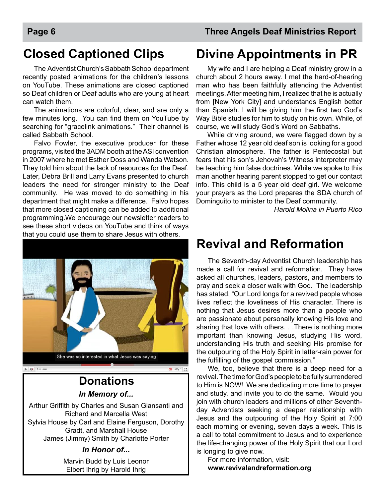### **Closed Captioned Clips**

The Adventist Church's Sabbath School department recently posted animations for the children's lessons on YouTube. These animations are closed captioned so Deaf children or Deaf adults who are young at heart can watch them.

The animations are colorful, clear, and are only a few minutes long. You can find them on YouTube by searching for "gracelink animations." Their channel is called Sabbath School.

Falvo Fowler, the executive producer for these programs, visited the 3ADM booth at the ASI convention in 2007 where he met Esther Doss and Wanda Watson. They told him about the lack of resources for the Deaf. Later, Debra Brill and Larry Evans presented to church leaders the need for stronger ministry to the Deaf community. He was moved to do something in his department that might make a difference. Falvo hopes that more closed captioning can be added to additional programming.We encourage our newsletter readers to see these short videos on YouTube and think of ways that you could use them to share Jesus with others.



### *In Memory of...* **Donations**

Arthur Griffith by Charles and Susan Giansanti and Richard and Marcella West Sylvia House by Carl and Elaine Ferguson, Dorothy Gradt, and Marshall House James (Jimmy) Smith by Charlotte Porter

#### *In Honor of...*

Marvin Budd by Luis Leonor Elbert Ihrig by Harold Ihrig

### **Divine Appointments in PR**

My wife and I are helping a Deaf ministry grow in a church about 2 hours away. I met the hard-of-hearing man who has been faithfully attending the Adventist meetings. After meeting him, I realized that he is actually from [New York City] and understands English better than Spanish. I will be giving him the first two God's Way Bible studies for him to study on his own. While, of course, we will study God's Word on Sabbaths.

While driving around, we were flagged down by a Father whose 12 year old deaf son is looking for a good Christian atmosphere. The father is Pentecostal but fears that his son's Jehovah's Witness interpreter may be teaching him false doctrines. While we spoke to this man another hearing parent stopped to get our contact info. This child is a 5 year old deaf girl. We welcome your prayers as the Lord prepares the SDA church of Dominguito to minister to the Deaf community.

*Harold Molina in Puerto Rico*

### **Revival and Reformation**

The Seventh-day Adventist Church leadership has made a call for revival and reformation. They have asked all churches, leaders, pastors, and members to pray and seek a closer walk with God. The leadership has stated, "Our Lord longs for a revived people whose lives reflect the loveliness of His character. There is nothing that Jesus desires more than a people who are passionate about personally knowing His love and sharing that love with others. . .There is nothing more important than knowing Jesus, studying His word, understanding His truth and seeking His promise for the outpouring of the Holy Spirit in latter-rain power for the fulfilling of the gospel commission."

We, too, believe that there is a deep need for a revival. The time for God's people to be fully surrendered to Him is NOW! We are dedicating more time to prayer and study, and invite you to do the same. Would you join with church leaders and millions of other Seventhday Adventists seeking a deeper relationship with Jesus and the outpouring of the Holy Spirit at 7:00 each morning or evening, seven days a week. This is a call to total commitment to Jesus and to experience the life-changing power of the Holy Spirit that our Lord is longing to give now.

For more information, visit: **www.revivalandreformation.org**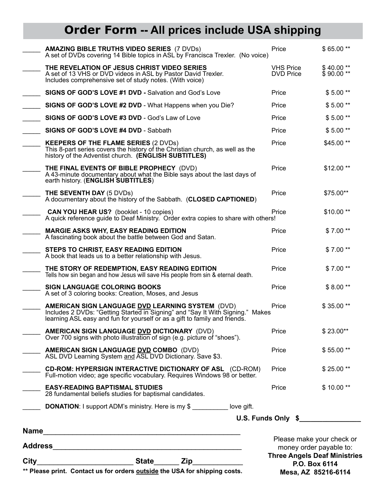## **Order Form -- All prices include USA shipping**

| _________________________State_______ Zip_<br>$City$ <sub>__</sub><br>** Please print. Contact us for orders outside the USA for shipping costs. |                                                                                                                                                                                                                         | Please make your check or<br>money order payable to:<br><b>Three Angels Deaf Ministries</b><br>P.O. Box 6114<br>Mesa, AZ 85216-6114 |                        |
|--------------------------------------------------------------------------------------------------------------------------------------------------|-------------------------------------------------------------------------------------------------------------------------------------------------------------------------------------------------------------------------|-------------------------------------------------------------------------------------------------------------------------------------|------------------------|
|                                                                                                                                                  |                                                                                                                                                                                                                         |                                                                                                                                     |                        |
|                                                                                                                                                  | <b>DONATION:</b> I support ADM's ministry. Here is my \$ _________ love gift.                                                                                                                                           |                                                                                                                                     |                        |
|                                                                                                                                                  | <b>EASY-READING BAPTISMAL STUDIES</b><br>28 fundamental beliefs studies for baptismal candidates.                                                                                                                       | Price                                                                                                                               | $$10.00**$             |
|                                                                                                                                                  | <b>CD-ROM: HYPERSIGN INTERACTIVE DICTIONARY OF ASL (CD-ROM)</b><br>Full-motion video; age specific vocabulary. Requires Windows 98 or better.                                                                           | Price                                                                                                                               | \$25.00**              |
|                                                                                                                                                  | AMERICAN SIGN LANGUAGE DVD COMBO (DVD)<br>ASL DVD Learning System and ASL DVD Dictionary. Save \$3.                                                                                                                     | Price                                                                                                                               | \$55.00**              |
|                                                                                                                                                  | <b>AMERICAN SIGN LANGUAGE DVD DICTIONARY</b> (DVD)<br>Over 700 signs with photo illustration of sign (e.g. picture of "shoes").                                                                                         | Price                                                                                                                               | $$23.00**$             |
|                                                                                                                                                  | <b>AMERICAN SIGN LANGUAGE DVD LEARNING SYSTEM (DVD)</b><br>Includes 2 DVDs: "Getting Started in Signing" and "Say It With Signing." Makes<br>learning ASL easy and fun for yourself or as a gift to family and friends. | Price                                                                                                                               | \$35.00**              |
|                                                                                                                                                  | <b>SIGN LANGUAGE COLORING BOOKS</b><br>A set of 3 coloring books: Creation, Moses, and Jesus                                                                                                                            | Price                                                                                                                               | $$8.00**$              |
|                                                                                                                                                  | THE STORY OF REDEMPTION, EASY READING EDITION<br>Tells how sin began and how Jesus will save His people from sin & eternal death.                                                                                       | Price                                                                                                                               | $$7.00**$              |
|                                                                                                                                                  | STEPS TO CHRIST, EASY READING EDITION<br>A book that leads us to a better relationship with Jesus.                                                                                                                      | Price                                                                                                                               | $$7.00**$              |
|                                                                                                                                                  | <b>MARGIE ASKS WHY, EASY READING EDITION</b><br>A fascinating book about the battle between God and Satan.                                                                                                              | Price                                                                                                                               | $$7.00**$              |
|                                                                                                                                                  | <b>CAN YOU HEAR US?</b> (booklet - 10 copies)<br>A quick reference quide to Deaf Ministry. Order extra copies to share with others!                                                                                     | Price                                                                                                                               | \$10.00**              |
|                                                                                                                                                  | <b>THE SEVENTH DAY (5 DVDs)</b><br>A documentary about the history of the Sabbath. (CLOSED CAPTIONED)                                                                                                                   | Price                                                                                                                               | \$75.00**              |
|                                                                                                                                                  | THE FINAL EVENTS OF BIBLE PROPHECY (DVD)<br>A 43-minute documentary about what the Bible says about the last days of<br>earth history. (ENGLISH SUBTITLES)                                                              | Price                                                                                                                               | \$12.00**              |
|                                                                                                                                                  | <b>KEEPERS OF THE FLAME SERIES (2 DVDs)</b><br>This 8-part series covers the history of the Christian church, as well as the<br>history of the Adventist church. (ENGLISH SUBTITLES)                                    | Price                                                                                                                               | \$45.00**              |
|                                                                                                                                                  | SIGNS OF GOD'S LOVE #4 DVD - Sabbath                                                                                                                                                                                    | Price                                                                                                                               | $$5.00**$              |
|                                                                                                                                                  | SIGNS OF GOD'S LOVE #3 DVD - God's Law of Love                                                                                                                                                                          | Price                                                                                                                               | $$5.00**$              |
|                                                                                                                                                  | SIGNS OF GOD'S LOVE #2 DVD - What Happens when you Die?                                                                                                                                                                 | Price                                                                                                                               | $$5.00**$              |
|                                                                                                                                                  | SIGNS OF GOD'S LOVE #1 DVD - Salvation and God's Love                                                                                                                                                                   | Price                                                                                                                               | $$5.00**$              |
|                                                                                                                                                  | THE REVELATION OF JESUS CHRIST VIDEO SERIES<br>A set of 13 VHS or DVD videos in ASL by Pastor David Trexler.<br>Includes comprehensive set of study notes. (With voice)                                                 | <b>VHS Price</b><br><b>DVD Price</b>                                                                                                | \$40.00**<br>\$90.00** |
|                                                                                                                                                  | <b>AMAZING BIBLE TRUTHS VIDEO SERIES (7 DVDs)</b><br>A set of DVDs covering 14 Bible topics in ASL by Francisca Trexler. (No voice)                                                                                     | Price                                                                                                                               | \$65.00**              |